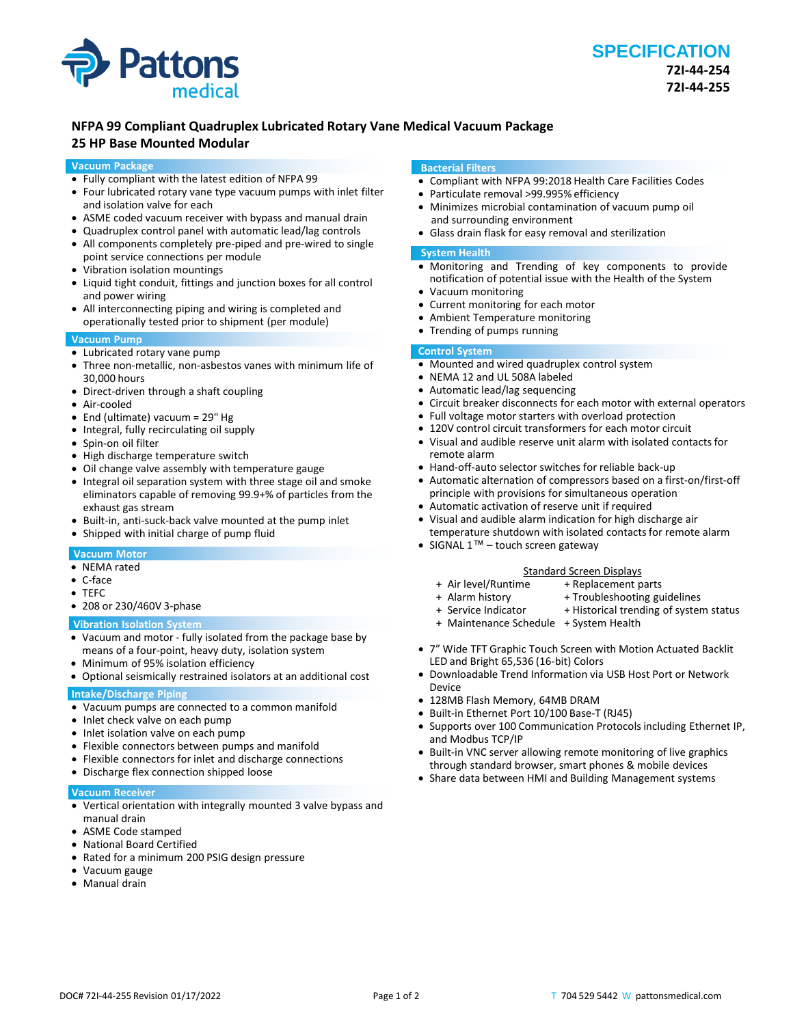

# **NFPA 99 Compliant Quadruplex Lubricated Rotary Vane Medical Vacuum Package**

# **25 HP Base Mounted Modular**

# **Vacuum Package**

- Fully compliant with the latest edition of NFPA 99
- Four lubricated rotary vane type vacuum pumps with inlet filter and isolation valve for each
- ASME coded vacuum receiver with bypass and manual drain
- Quadruplex control panel with automatic lead/lag controls
- All components completely pre-piped and pre-wired to single point service connections per module
- Vibration isolation mountings
- Liquid tight conduit, fittings and junction boxes for all control and power wiring
- All interconnecting piping and wiring is completed and operationally tested prior to shipment (per module)

# **Vacuum Pump**

- Lubricated rotary vane pump
- Three non-metallic, non-asbestos vanes with minimum life of 30,000 hours
- Direct-driven through a shaft coupling
- Air-cooled
- End (ultimate) vacuum = 29" Hg
- Integral, fully recirculating oil supply
- Spin-on oil filter
- High discharge temperature switch
- Oil change valve assembly with temperature gauge
- Integral oil separation system with three stage oil and smoke eliminators capable of removing 99.9+% of particles from the exhaust gas stream
- Built-in, anti-suck-back valve mounted at the pump inlet
- Shipped with initial charge of pump fluid

# **Vacuum Motor**

- NEMA rated
- C-face
- TEFC
- 208 or 230/460V 3-phase

#### **Vibration Isolation System**

- Vacuum and motor fully isolated from the package base by means of a four-point, heavy duty, isolation system
- Minimum of 95% isolation efficiency
- Optional seismically restrained isolators at an additional cost

### **Intake/Discharge Piping**

- Vacuum pumps are connected to a common manifold
- Inlet check valve on each pump
- Inlet isolation valve on each pump
- Flexible connectors between pumps and manifold
- Flexible connectors for inlet and discharge connections
- Discharge flex connection shipped loose

#### **Vacuum Receiver**

- Vertical orientation with integrally mounted 3 valve bypass and manual drain
- ASME Code stamped
- National Board Certified
- Rated for a minimum 200 PSIG design pressure
- Vacuum gauge
- Manual drain

#### **Bacterial Filters**

- Compliant with NFPA 99:2018 Health Care Facilities Codes
- Particulate removal >99.995% efficiency
- Minimizes microbial contamination of vacuum pump oil and surrounding environment
- Glass drain flask for easy removal and sterilization

#### **System Health**

- Monitoring and Trending of key components to provide notification of potential issue with the Health of the System
- Vacuum monitoring
- Current monitoring for each motor
- Ambient Temperature monitoring
- Trending of pumps running

# **Control System**

- Mounted and wired quadruplex control system
- NEMA 12 and UL 508A labeled
- Automatic lead/lag sequencing
- Circuit breaker disconnects for each motor with external operators
- Full voltage motor starters with overload protection
- 120V control circuit transformers for each motor circuit
- Visual and audible reserve unit alarm with isolated contacts for remote alarm
- Hand-off-auto selector switches for reliable back-up
- Automatic alternation of compressors based on a first-on/first-off principle with provisions for simultaneous operation
- Automatic activation of reserve unit if required
- Visual and audible alarm indication for high discharge air temperature shutdown with isolated contacts for remote alarm
- SIGNAL 1™ touch screen gateway

#### Standard Screen Displays<br>Air level/Runtime + Replacement p + + Replacement parts

- 
- 
- + Alarm history + Troubleshooting guidelines<br>+ Service Indicator + Historical trending of syster + Historical trending of system status
	-
- + Maintenance Schedule + System Health
- 7" Wide TFT Graphic Touch Screen with Motion Actuated Backlit LED and Bright 65,536 (16-bit) Colors
- Downloadable Trend Information via USB Host Port or Network Device
- 128MB Flash Memory, 64MB DRAM
- Built-in Ethernet Port 10/100 Base-T (RJ45)
- Supports over 100 Communication Protocols including Ethernet IP, and Modbus TCP/IP
- Built-in VNC server allowing remote monitoring of live graphics through standard browser, smart phones & mobile devices
- Share data between HMI and Building Management systems